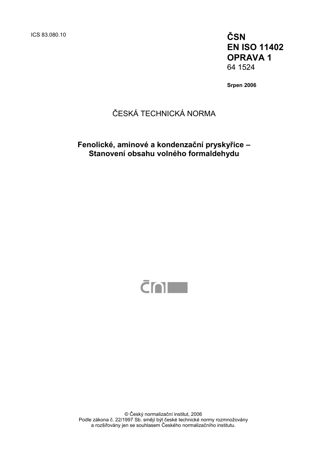ICS 83.080.10 **ČSN** 

**EN ISO 11402 OPRAVA 1**  64 1524

**Srpen 2006** 

### ČESKÁ TECHNICKÁ NORMA

**Fenolické, aminové a kondenzační pryskyřice – Stanovení obsahu volného formaldehydu** 



© Český normalizační institut, 2006 Podle zákona č. 22/1997 Sb. smějí být české technické normy rozmnožovány a rozšiřovány jen se souhlasem Českého normalizačního institutu.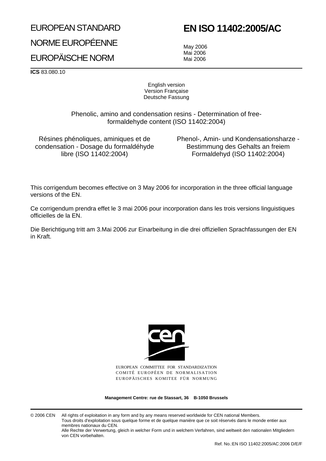# EUROPEAN STANDARD

## **EN ISO 11402:2005/AC**

NORME EUROPÉENNE EUROPÄISCHE NORM

May 2006 Mai 2006 Mai 2006

**ICS** 83.080.10

English version Version Française Deutsche Fassung

Phenolic, amino and condensation resins - Determination of freeformaldehyde content (ISO 11402:2004)

Résines phénoliques, aminiques et de condensation - Dosage du formaldéhyde libre (ISO 11402:2004)

Phenol-, Amin- und Kondensationsharze - Bestimmung des Gehalts an freiem Formaldehyd (ISO 11402:2004)

This corrigendum becomes effective on 3 May 2006 for incorporation in the three official language versions of the EN.

Ce corrigendum prendra effet le 3 mai 2006 pour incorporation dans les trois versions linguistiques officielles de la EN.

Die Berichtigung tritt am 3.Mai 2006 zur Einarbeitung in die drei offiziellen Sprachfassungen der EN in Kraft.



EUROPEAN COMMITTEE FOR STANDARDIZATION COMITÉ EUROPÉEN DE NORMALISATION EUROPÄISCHES KOMITEE FÜR NORMUNG

**Management Centre: rue de Stassart, 36 B-1050 Brussels**

© 2006 CEN All rights of exploitation in any form and by any means reserved worldwide for CEN national Members. Tous droits d'exploitation sous quelque forme et de quelque manière que ce soit réservés dans le monde entier aux membres nationaux du CEN.

Alle Rechte der Verwertung, gleich in welcher Form und in welchem Verfahren, sind weltweit den nationalen Mitgliedern von CEN vorbehalten.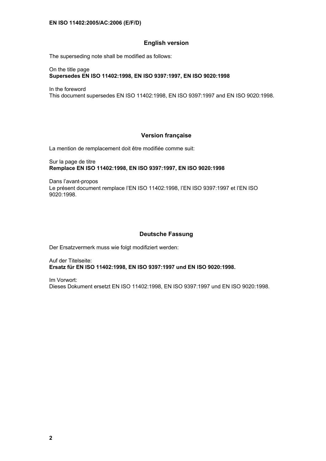#### **English version**

The superseding note shall be modified as follows:

On the title page **Supersedes EN ISO 11402:1998, EN ISO 9397:1997, EN ISO 9020:1998** 

In the foreword

This document supersedes EN ISO 11402:1998, EN ISO 9397:1997 and EN ISO 9020:1998.

#### **Version française**

La mention de remplacement doit être modifiée comme suit:

Sur la page de titre **Remplace EN ISO 11402:1998, EN ISO 9397:1997, EN ISO 9020:1998** 

Dans l'avant-propos Le présent document remplace l'EN ISO 11402:1998, l'EN ISO 9397:1997 et l'EN ISO 9020:1998.

#### **Deutsche Fassung**

Der Ersatzvermerk muss wie folgt modifiziert werden:

Auf der Titelseite: **Ersatz für EN ISO 11402:1998, EN ISO 9397:1997 und EN ISO 9020:1998.** 

Im Vorwort: Dieses Dokument ersetzt EN ISO 11402:1998, EN ISO 9397:1997 und EN ISO 9020:1998.